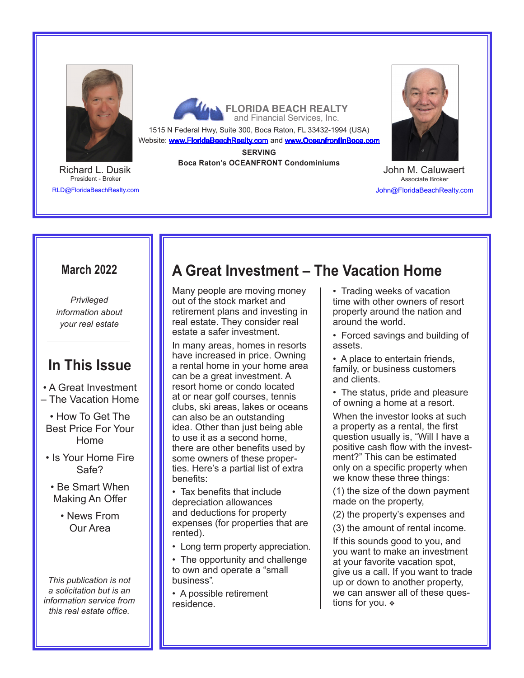

President - Broker RLD@FloridaBeachRealty.com Richard L. Dusik

**FLORIDA BEACH REALTY**<br>**A** and Financial Services, Inc.

1515 N Federal Hwy, Suite 300, Boca Raton, FL 33432-1994 (USA) Website: www.FloridaBeachRealty.com and www.OceanfrontInBoca.com

**SERVING**

**Boca Raton's OCEANFRONT Condominiums**



Associate Broker John@FloridaBeachRealty.com John M. Caluwaert

### **March 2022**

*Privileged information about your real estate*

# **In This Issue**

- A Great Investment
- The Vacation Home
- How To Get The Best Price For Your Home
- Is Your Home Fire Safe?
- Be Smart When Making An Offer
	- News From Our Area

*This publication is not a solicitation but is an information service from this real estate office.* 

# **A Great Investment – The Vacation Home**

Many people are moving money out of the stock market and retirement plans and investing in real estate. They consider real estate a safer investment.

In many areas, homes in resorts have increased in price. Owning a rental home in your home area can be a great investment. A resort home or condo located at or near golf courses, tennis clubs, ski areas, lakes or oceans can also be an outstanding idea. Other than just being able to use it as a second home, there are other benefits used by some owners of these properties. Here's a partial list of extra benefits:

• Tax benefits that include depreciation allowances and deductions for property expenses (for properties that are rented).

• Long term property appreciation.

• The opportunity and challenge to own and operate a "small business".

• A possible retirement residence.

- Trading weeks of vacation time with other owners of resort property around the nation and around the world.
- Forced savings and building of assets.
- A place to entertain friends, family, or business customers and clients.
- The status, pride and pleasure of owning a home at a resort.

When the investor looks at such a property as a rental, the first question usually is, "Will I have a positive cash flow with the investment?" This can be estimated only on a specific property when we know these three things:

(1) the size of the down payment made on the property,

(2) the property's expenses and

(3) the amount of rental income.

If this sounds good to you, and you want to make an investment at your favorite vacation spot, give us a call. If you want to trade up or down to another property, we can answer all of these questions for you.  $\ast$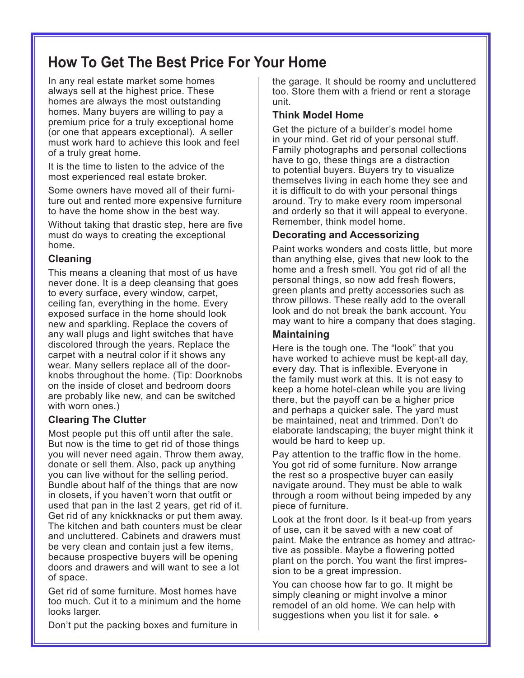# **How To Get The Best Price For Your Home**

In any real estate market some homes always sell at the highest price. These homes are always the most outstanding homes. Many buyers are willing to pay a premium price for a truly exceptional home (or one that appears exceptional). A seller must work hard to achieve this look and feel of a truly great home.

It is the time to listen to the advice of the most experienced real estate broker.

Some owners have moved all of their furniture out and rented more expensive furniture to have the home show in the best way.

Without taking that drastic step, here are five must do ways to creating the exceptional home.

### **Cleaning**

This means a cleaning that most of us have never done. It is a deep cleansing that goes to every surface, every window, carpet, ceiling fan, everything in the home. Every exposed surface in the home should look new and sparkling. Replace the covers of any wall plugs and light switches that have discolored through the years. Replace the carpet with a neutral color if it shows any wear. Many sellers replace all of the doorknobs throughout the home. (Tip: Doorknobs on the inside of closet and bedroom doors are probably like new, and can be switched with worn ones.)

### **Clearing The Clutter**

Most people put this off until after the sale. But now is the time to get rid of those things you will never need again. Throw them away, donate or sell them. Also, pack up anything you can live without for the selling period. Bundle about half of the things that are now in closets, if you haven't worn that outfit or used that pan in the last 2 years, get rid of it. Get rid of any knickknacks or put them away. The kitchen and bath counters must be clear and uncluttered. Cabinets and drawers must be very clean and contain just a few items, because prospective buyers will be opening doors and drawers and will want to see a lot of space.

Get rid of some furniture. Most homes have too much. Cut it to a minimum and the home looks larger.

Don't put the packing boxes and furniture in

the garage. It should be roomy and uncluttered too. Store them with a friend or rent a storage unit.

### **Think Model Home**

Get the picture of a builder's model home in your mind. Get rid of your personal stuff. Family photographs and personal collections have to go, these things are a distraction to potential buyers. Buyers try to visualize themselves living in each home they see and it is difficult to do with your personal things around. Try to make every room impersonal and orderly so that it will appeal to everyone. Remember, think model home.

### **Decorating and Accessorizing**

Paint works wonders and costs little, but more than anything else, gives that new look to the home and a fresh smell. You got rid of all the personal things, so now add fresh flowers, green plants and pretty accessories such as throw pillows. These really add to the overall look and do not break the bank account. You may want to hire a company that does staging.

### **Maintaining**

Here is the tough one. The "look" that you have worked to achieve must be kept-all day, every day. That is inflexible. Everyone in the family must work at this. It is not easy to keep a home hotel-clean while you are living there, but the payoff can be a higher price and perhaps a quicker sale. The yard must be maintained, neat and trimmed. Don't do elaborate landscaping; the buyer might think it would be hard to keep up.

Pay attention to the traffic flow in the home. You got rid of some furniture. Now arrange the rest so a prospective buyer can easily navigate around. They must be able to walk through a room without being impeded by any piece of furniture.

Look at the front door. Is it beat-up from years of use, can it be saved with a new coat of paint. Make the entrance as homey and attractive as possible. Maybe a flowering potted plant on the porch. You want the first impression to be a great impression.

You can choose how far to go. It might be simply cleaning or might involve a minor remodel of an old home. We can help with suggestions when you list it for sale.  $\ast$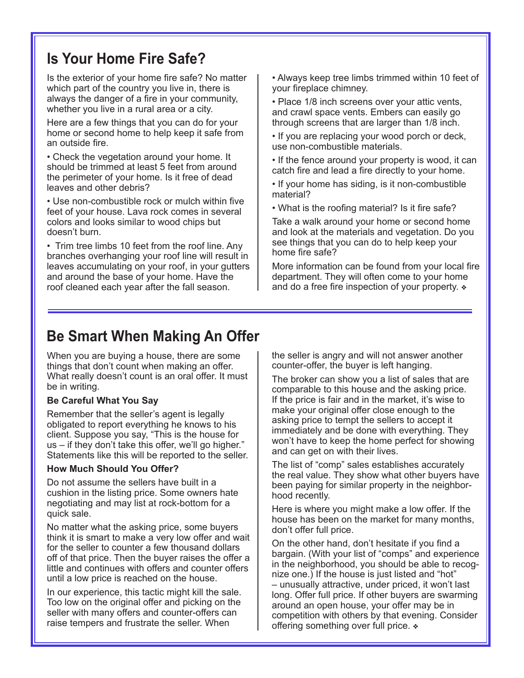# **Is Your Home Fire Safe?**

Is the exterior of your home fire safe? No matter which part of the country you live in, there is always the danger of a fire in your community, whether you live in a rural area or a city.

Here are a few things that you can do for your home or second home to help keep it safe from an outside fire.

• Check the vegetation around your home. It should be trimmed at least 5 feet from around the perimeter of your home. Is it free of dead leaves and other debris?

• Use non-combustible rock or mulch within five feet of your house. Lava rock comes in several colors and looks similar to wood chips but doesn't burn.

• Trim tree limbs 10 feet from the roof line. Any branches overhanging your roof line will result in leaves accumulating on your roof, in your gutters and around the base of your home. Have the roof cleaned each year after the fall season.

• Always keep tree limbs trimmed within 10 feet of your fireplace chimney.

• Place 1/8 inch screens over your attic vents, and crawl space vents. Embers can easily go through screens that are larger than 1/8 inch.

• If you are replacing your wood porch or deck, use non-combustible materials.

• If the fence around your property is wood, it can catch fire and lead a fire directly to your home.

• If your home has siding, is it non-combustible material?

• What is the roofing material? Is it fire safe?

Take a walk around your home or second home and look at the materials and vegetation. Do you see things that you can do to help keep your home fire safe?

More information can be found from your local fire department. They will often come to your home and do a free fire inspection of your property.  $\ast$ 

# **Be Smart When Making An Offer**

When you are buying a house, there are some things that don't count when making an offer. What really doesn't count is an oral offer. It must be in writing.

#### **Be Careful What You Say**

Remember that the seller's agent is legally obligated to report everything he knows to his client. Suppose you say, "This is the house for us – if they don't take this offer, we'll go higher." Statements like this will be reported to the seller.

#### **How Much Should You Offer?**

Do not assume the sellers have built in a cushion in the listing price. Some owners hate negotiating and may list at rock-bottom for a quick sale.

No matter what the asking price, some buyers think it is smart to make a very low offer and wait for the seller to counter a few thousand dollars off of that price. Then the buyer raises the offer a little and continues with offers and counter offers until a low price is reached on the house.

In our experience, this tactic might kill the sale. Too low on the original offer and picking on the seller with many offers and counter-offers can raise tempers and frustrate the seller. When

the seller is angry and will not answer another counter-offer, the buyer is left hanging.

The broker can show you a list of sales that are comparable to this house and the asking price. If the price is fair and in the market, it's wise to make your original offer close enough to the asking price to tempt the sellers to accept it immediately and be done with everything. They won't have to keep the home perfect for showing and can get on with their lives.

The list of "comp" sales establishes accurately the real value. They show what other buyers have been paying for similar property in the neighborhood recently.

Here is where you might make a low offer. If the house has been on the market for many months, don't offer full price.

On the other hand, don't hesitate if you find a bargain. (With your list of "comps" and experience in the neighborhood, you should be able to recognize one.) If the house is just listed and "hot" – unusually attractive, under priced, it won't last long. Offer full price. If other buyers are swarming around an open house, your offer may be in competition with others by that evening. Consider offering something over full price.  $\ast$